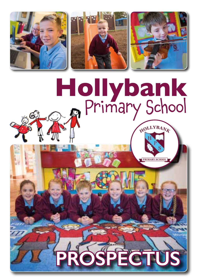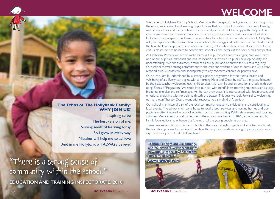# **WELCOME**

#### **The Ethos of The Hollybank Family: WHY JOIN US?**

I'm aspiring to be The best version of me, Sowing seeds of learning today So I grow in every way. Mistakes will help me to achieve And in me Hollybank will ALWAYS believe!

"There is a strong sense of community within the school." **EDUCATION AND TRAINING INSPECTORATE, 2010** Welcome to Hollybank Primary School. We hope this prospectus will give you a short insight into the ethos, environment and learning opportunities that our school provides. It is a very friendly, welcoming school and I am confident that you and your child will be happy with Hollybank as a first class choice for primary education. Of course, we can only provide a snapshot of life at Hollybank in a prospectus as there is no substitute for a tour of our wonderful school. Only then will you experience the warm ethos of our school, the energy and enthusiasm of our children and the hospitable atmosphere of our vibrant and newly refurbished classrooms. If you would like to visit us please do not hesitate to contact the school, via the details at the back of this prospectus.

At Hollybank Primary, we aim to make learning fun, purposeful and challenging. We value each one of our pupils as individuals and ensure inclusion is fostered so pupils develop equality and understanding. We are extremely proud of all our pupils and celebrate this success regularly. Our school shows a strong commitment to the care and welfare of our students and will always respond quickly, sensitively and appropriately to any concerns children or parents have.

Our curriculum is underpinned by a strong support programme for the Mental health and Wellbeing of all. Every day begins with a morning Meet and Greet by staff at the gates, followed by the class teacher welcoming each child to class, with a smile and an emotional check in, through using Zones of Regulation. We settle into our day with mindfulness morning routines such as yoga, breathing exercise and self massage. As the day progresses it is interspersed with brain breaks and emotional check ins, with no bells to disturb the peace! This year we look forward to welcoming our very own Therapy Dog: a wonderful resource to calm children's anxiety.

Our school is an integral part of the local community, regularly participating and contributing to local events. The school choir contributes to local church services and nursing homes, and our pupils are often involved in council activities such as tree planting, PSNI safety events and sporting activities. We are very proud to be one of the schools involved in THRIVE, an initiative lead by Family Connections to enhance the futures of all the young people in our area.

These links extend to post primary schools in the area through projects and activities which help the transition process for our Year 7 pupils, with many past pupils returning to participate in work experience or just to lend a helping hand!

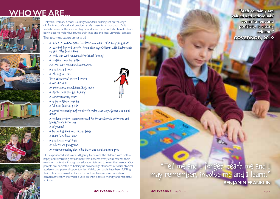# **WHO WE ARE...**









Hollybank Primary School is a bright, modern building set on the edge of Monkstown Wood and provides a safe haven for all our pupils. With fantastic views of the surrounding natural area, the school also benefits from being close to major bus routes, train lines and the local university campus. The accommodation consists of:

- A dedicated Autism Specific Classroom, called 'The Hollybank Hive'
- A Learning Support Unit for Foundation Age Children with Statements of SEN: 'The Junior Hive.'
- A lively and well resourced PreSchool Setting
- A modern computer suite
- Modern, well resourced classrooms
- A spacious art room
- A calming Zen Den
- Two educational support rooms
- A Nurture Nest
- An interactive Foundation Stage suite
- A vibrant well stocked library
- A parent meeting room
- A large multi-purpose hall
- A full size football pitch
- A sizeable zoned playground with water, sensory, games and sand areas
- A modern outdoor classroom used for Forest Schools activities and break/lunch activities
- A polytunnel
- A gardening area with raised beds
- A peaceful willow dome
- A spacious sports' field
- An adventure playground
- An outdoor reading den, bike track and sand and mud pits

Our experienced staff works diligently to provide the children with both a happy and stimulating environment, that ensures every child reaches their maximum potential through an education tailored to meet their needs. Our parents are dedicated to helping us provide high standards of social, physical, academic and pastoral opportunities. Whilst our pupils have been fulfilling their role as ambassadors for our school we have received countless compliments from the wider public on their positive, friendly and respectful attitudes.



### "Tell me and I forget, teach me and I may remember, involve me and I learn." **BENJAMIN FRANKLIN**

**"Staff certainly are valued and individuals' commitment and positivity is clearly evident." GOVERNOR, 2019**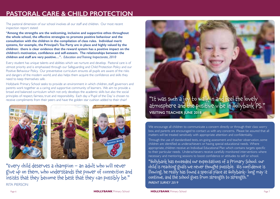### **PASTORAL CARE & CHILD PROTECTION**

#### The pastoral dimension of our school involves all our staff and children. Our most recent inspection report stated:

**"Among the strengths are the welcoming, inclusive and supportive ethos throughout the whole school, the effective strategies to promote positive behaviour and the consultation with the children in the compilation of class rules. Individual merit systems, for example, the Principal's Tea Party are in place and highly valued by the children: there is clear evidence that the reward system has a positive impact on the children's motivation, confidence and self-esteem. The relationships between the children and staff are very positive…".** *Education and Training Inspectorate, 2010*

Every student has unique talents and abilities which we nurture and develop. Pastoral care is of utmost priority and is emphasised through our Safeguarding and Child Protection Policy and our Positive Behaviour Policy. Our preventative curriculum ensures all pupils are aware of the risks and dangers of the modern world, and also helps them acquire the confidence and skills they need to keep themselves safe.

Hollybank Primary School seeks to provide an environment in which children, staff, governors and parents work together as a caring and supportive community of learners. We aim to provide a broad and balanced curriculum which not only develops the academic skills but also the social principles of respect, fairness, trust and responsibility. Each day a 'Pupil of the Day' is chosen to receive compliments from their peers and have the golden star cushion added to their chair!







"Every child deserves a champion – an adult who will never give up on them, who understands the power of connection and insists that they become the best that they can possibly be." RITA PIERSON



We encourage all children to communicate a concern directly or through their class worry box, and parents are encouraged to contact us with any concerns. Please be assured that all matters will be treated sensitively with appropriate attention and confidentiality.

Through the use of standardised tests, on-going assessment and teacher observation, some children are identified as underachievers or having special educational needs. Where appropriate, children receive an Individual Educational Plan which contains targets specific to their particular needs. Underachievers receive carefully monitored interventions where necessary and mentoring sessions to boost confidence or attitudes to self or school.

"Hollybank has exceeded our expectations of a Primary School: our child is reaching goals we never thought possible. His confidence is flowing, he really has found a special place at Hollybank- long may it continue, and the school goes from strength to strength." *PARENT SURVEY 2019*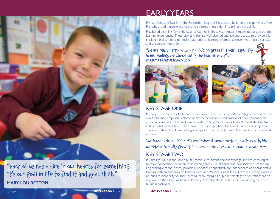

"Each of us has a fire in our hearts for something. It's our goal in life to find it and keep it lit." **MARY LOU RETTON**

## EARLY YEARS

Primary One and Two form the Foundation Stage which seeks to build on the experiences from Pre-school and Nursery, and to provide a smooth transition into primary school life.

Play Based Learning forms the basis of learning in these year groups through indoor and outdoor learning experiences. These play activities are well planned and age appropriate to provide a fun challenge that will develop positive attitudes to learning, promote achievement of early success and encourage motivation.

"We are really happy with our child's progress this year, especially in his reading, we cannot thank the teacher enough." *PARENT REPORT FEEDBACK 2019* 





### KEY STAGE ONE

Primary Three and Four build on the learning achieved in the Foundation Stage in a more formal way. Continued emphasis is placed on the personal, social and emotional development of the cross curricular skills of Using Communication, Using Mathematics, Using ICT and Thinking Skills and Personal Capabilities. In Key Stage One the pupils have the opportunity to develop their Thinking Skills and Problem Solving strategies through Activity Based Learning both indoors and outdoors.

"We have noticed a big difference when it comes to doing numberwork, his confidence is really growing in mathematics." *PARENT REPORT FEEDBACK 2019* 

### KEY STAGE TWO

In Primary Five, Six and Seven pupils continue to extend their knowledge and are encouraged to make connections between their learning areas. STEAM challenge days (Science, Technology, Engineering, Art and Maths) provide a wonderful opportunity for independent and collaborative learning with an emphasis on Thinking Skills and Personal Capabilities. There is a strong emphasis on pupil responsibility for their learning, encouraging all pupils at this stage to self-reflect and to improve on their learning targets. Primary 7 develop these skills further by running their own business each year.

Scho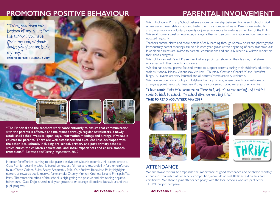### **PROMOTING POSITIVE BEHAVIOUR PARENTAL INVOLVEMENT**

"Thank you from the bottom of my heart for the support you have given my son, without doubt you gave me back my boy."

**PARENT REPORT FEEDBACK 2019**



**"The Principal and the teachers work conscientiously to ensure that communication with the parents is effective and maintained through regular newsletters, a newly established school website, open days, information meetings and a range of valuable courses for parents. There are well established and excellent links developed with the other local schools, including pre-school, primary and post primary schools, which enrich the children's educational and social experiences and ensure smooth transitions."** *Education and Training Inspectorate, 2010*

In order for effective learning to take place positive behaviour is essential. All classes create a Class Plan for Learning which is based on respect, fairness and responsibility, further reinforced by our Three Golden Rules: Ready, Respectful, Safe. Our Positive Behaviour Policy highlights numerous rewards pupils receive, for example: Cheeky Monkey, Kindness Jar and Principal's Tea Party. Therefore the ethos of the school is highlighting the positive and diminishing negative behaviours. Class Dojo is used in all year groups to encourage all positive behaviour and track pupil progress.

We in Hollybank Primary School believe a close partnership between home and school is vital, so we value these relationships and foster them in a number of ways. Parents are invited to assist in school on a voluntary capacity or join school more formally as a member of the PTA. We send home a weekly newsletter, amongst other written communication and our website is updated regularly.

Teachers communicate and share details of daily learning through Seesaw posts and photographs. Introductory parent meetings are held in each year group at the beginning of each academic year. In addition parents are invited to parental consultations and annually receive a written report on their child's progress.

We hold an annual Parent Praise Event where pupils can show off their learning and share successes with their parents and carers.

We also run several parent focused events to support parents during their children's education, such as 'Monday Moan', 'Wednesday Walkers' , 'Thursday Chat and Cheer Up' and 'Breakfast Bingo.' All events are very informal and all parents/carers are very welcome.

We have an open door policy in Hollybank Primary School, where parents are welcome to arrange appointments with teachers if they are concerned about any area of school life.

"I love coming into this school to do Time to Read, it's so welcoming and I wish I could go back to school. My school days weren't like this." *TIME TO READ VOLUNTEER MAY 2019*









### **ATTENDANCE**

We are always striving to emphasise the importance of good attendance and celebrate monthly attendance through a whole school competition, alongside annual 100% award badges and certificates. We share a joint attendance policy with the local schools who are part of the THRIVE project campaign.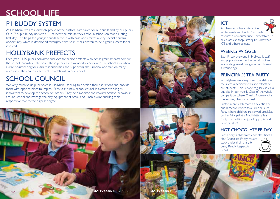# **SCHOOL LIFE**

### P1 BUDDY SYSTEM

At Hollybank we are extremely proud of the pastoral care taken for our pupils and by our pupils. Our P7 pupils buddy up with a P1 student the minute they arrive in school, on that daunting first day. This helps the younger pupils settle in with ease and creates a very special bonding opportunity, which is developed throughout the year. It has proven to be a great success for all involved.

### HOLLYBANK PREFECTS

Each year P4-P7 pupils nominate and vote for senior prefects who act as great ambassadors for the school throughout the year. These pupils are a wonderful addition to the school as a whole, always volunteering for extra responsibilities and supporting the Principal and staff on many occasions. They are excellent role models within our school.

### SCHOOL COUNCIL

We very much value pupil voice in Hollybank, seeking to develop their aspirations and provide them with opportunities to inspire. Each year a new school council is elected working as innovators to develop the school for others. They help monitor and reward positive behaviour around school and manage the play equipment at break and lunch, always fulfilling their responsible role to the highest degree.













All classrooms have interactive whiteboards and Ipads. Our wellresourced computer suite is timetabled so all classes can forge strong links between ICT and other subjects.

### WEEKLY WIGGLE

Each Friday everyone in Hollybank, staff and pupils alike enjoy the benefits of an invigorating weekly wiggle in our pleasant surroundings.

### PRINCIPAL'S TEA PARTY

In Hollybank we always seek to celebrate the success, achievements and efforts of our students. This is done regularly in class but also in our weekly Class of the Week competition, where Cheeky Monkey joins the winning class for a week.

Furthermore, each month a selection of pupils receive invites to a Principal's Tea Party, where children are served breakfast by the Principal at a Mad Hatter's Tea Party…a tradition enjoyed by pupils and Principal alike!

#### HOT CHOCOLATE FRIDAY

Each Friday a child from each class finds a Hot Chocolate Friday reward stuck under their chair, for being Ready, Respectful



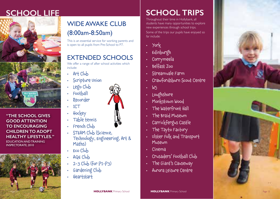# **SCHOOL LIFE**



**"THE SCHOOL GIVES GOOD ATTENTION TO ENCOURAGING CHILDREN TO ADOPT HEALTHY LIFESTYLES."** EDUCATION AND TRAINING

INSPECTORATE, 2010



## WIDE AWAKE CLUB (8:00am-8:50am)

This is an essential service for working parents and is open to all pupils from Pre-School to P7.

## EXTENDED SCHOOLS

We offer a range of after school activities which include:

- Art Club
- Scripture Union
- Lego Club
- Football Recorder
- 
- ICT
- Hockey
- Table tennis
- French Club
- STEAM Club (Science, Technology, Engineering, Art & Maths)
- Eco Club
- AQE Club
- 2-3 Club (for P1-P3)
- Gardening Club
- Heartstart



# **SCHOOL TRIPS**

Throughout their time in Hollybank, all students have many opportunities to explore new experiences through school trips. Some of the trips our pupils have enjoyed so far include:

- 
- 
- 
- 
- 
- . York<br>
. Edinburgh<br>
. Corrymeela<br>
. Belfast Zoo<br>
. Streamvale Farm<br>
. Crawfordsburn Scout Centre<br>
. W5<br>
. Loughshore<br>
. Monkstown Wood<br>
. The Waterfront Hall<br>
. The Braid Museum<br>
. Carrickfergus Castle<br>
. The Tayto Factor
- 
- 
- 
- 
- 
- 
- 
- Museum
- 
- Cinema<br>• Crusaders' Football Club<br>• The Giant's Causeway<br>• Aurora Leisure Centre
- 
- 

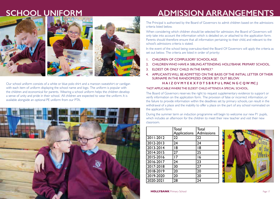

Our school uniform consists of a white or blue polo shirt and a maroon sweatshirt or cardigan with each item of uniform displaying the school name and logo. The uniform is popular with the children and economical for parents. Wearing a school uniform helps the children develop a sense of unity and pride in their school. All children are expected to wear the uniform. It is available alongside an optional PE uniform from our PTA.



# **SCHOOL UNIFORM ADMISSION ARRANGEMENTS**

The Principal is authorised by the Board of Governors to admit children based on the admissions criteria listed below.

When considering which children should be selected for admission, the Board of Governors will only take into account the information which is detailed on, or attached to the application form. Parents should therefore ensure that all information pertaining to their child, and relevant to the school's admissions criteria is stated.

In the event of the school being oversubscribed the Board Of Governors will apply the criteria as set out below. The criteria are listed in order of priority:

- 1. CHILDREN OF COMPULSORY SCHOOL AGE.
- 2. CHILDREN WHO HAVE A SIBLING ATTENDING HOLLYBANK PRIMARY SCHOOL.
- 3. ELDEST OR ONLY CHILD IN THE FAMILY.\*
- 4. APPLICANTS WILL BE ADMITTED ON THE BASIS OF THE INITIAL LETTER OF THEIR SURNAME IN THE RANDOMIZED ORDER SET OUT BELOW.

#### **H A I Z O V M Y E K X F D T S B R P U L MAC N G C Q W MC J**

#### \*NOT APPLICABLE WHERE THE ELDEST CHILD ATTENDS A SPECIAL SCHOOL.

The Board of Governors reserves the right to request supplementary evidence to support or verify information on the application form. The provision of false or incorrect information, or the failure to provide information within the deadlines set by primary schools, can result in the withdrawal of a place and the inability to offer a place on the part of any school nominated on the applicant's form.

During the summer term an induction programme will begin to welcome our new P1 pupils, which includes an afternoon for the children to meet their new teacher and visit their new classroom.

|           | Total<br><b>Applications</b> | Total<br>Admissions |
|-----------|------------------------------|---------------------|
| 2011-2012 | 22                           | 22                  |
| 2012-2013 | 24                           | 24                  |
| 2013-2014 | 18                           | 18                  |
| 2014-2015 | 27                           | 25                  |
| 2015-2016 | 17                           | 16                  |
| 2016-2017 | 24                           | 23                  |
| 2017-2018 | 30                           | 27                  |
| 2018-2019 | 20                           | 20                  |
| 2019-2020 | 20                           | 20                  |
| 2020-2021 | 28                           | 24                  |

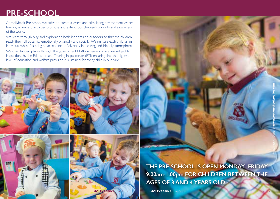# **PRE-SCHOOL**

At Hollybank Pre-school we strive to create a warm and stimulating environment where learning is fun, and activities promote and extend our children's curiosity and awareness of the world.

We learn through play and exploration both indoors and outdoors so that the children reach their full potential emotionally, physically and socially. We nurture each child as an individual whilst fostering an acceptance of diversity in a caring and friendly atmosphere. We offer funded places through the government PEAG scheme and we are subject to inspections by the Education and Training Inspectorate (ETI) ensuring that the highest level of education and welfare provision is sustained for every child in our care.









**THE PRE-SCHOOL IS OPEN MONDAY- FRIDAY, 9.00am-1:00pm FOR CHILDREN BETWEEN THE AGES OF 3 AND 4 YEARS OLD.**